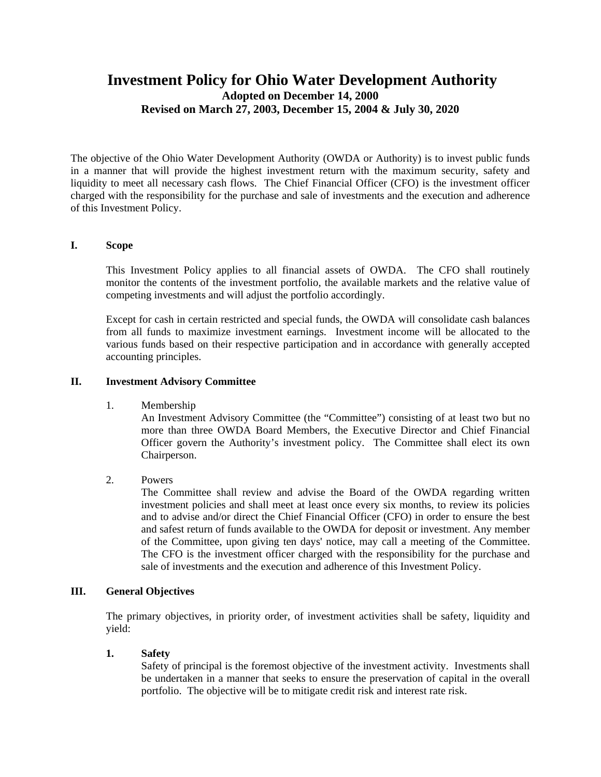# **Investment Policy for Ohio Water Development Authority Adopted on December 14, 2000 Revised on March 27, 2003, December 15, 2004 & July 30, 2020**

The objective of the Ohio Water Development Authority (OWDA or Authority) is to invest public funds in a manner that will provide the highest investment return with the maximum security, safety and liquidity to meet all necessary cash flows. The Chief Financial Officer (CFO) is the investment officer charged with the responsibility for the purchase and sale of investments and the execution and adherence of this Investment Policy.

#### **I. Scope**

This Investment Policy applies to all financial assets of OWDA. The CFO shall routinely monitor the contents of the investment portfolio, the available markets and the relative value of competing investments and will adjust the portfolio accordingly.

Except for cash in certain restricted and special funds, the OWDA will consolidate cash balances from all funds to maximize investment earnings. Investment income will be allocated to the various funds based on their respective participation and in accordance with generally accepted accounting principles.

#### **II. Investment Advisory Committee**

#### 1. Membership

An Investment Advisory Committee (the "Committee") consisting of at least two but no more than three OWDA Board Members, the Executive Director and Chief Financial Officer govern the Authority's investment policy. The Committee shall elect its own Chairperson.

#### 2. Powers

The Committee shall review and advise the Board of the OWDA regarding written investment policies and shall meet at least once every six months, to review its policies and to advise and/or direct the Chief Financial Officer (CFO) in order to ensure the best and safest return of funds available to the OWDA for deposit or investment. Any member of the Committee, upon giving ten days' notice, may call a meeting of the Committee. The CFO is the investment officer charged with the responsibility for the purchase and sale of investments and the execution and adherence of this Investment Policy.

#### **III. General Objectives**

The primary objectives, in priority order, of investment activities shall be safety, liquidity and yield:

#### **1. Safety**

Safety of principal is the foremost objective of the investment activity. Investments shall be undertaken in a manner that seeks to ensure the preservation of capital in the overall portfolio. The objective will be to mitigate credit risk and interest rate risk.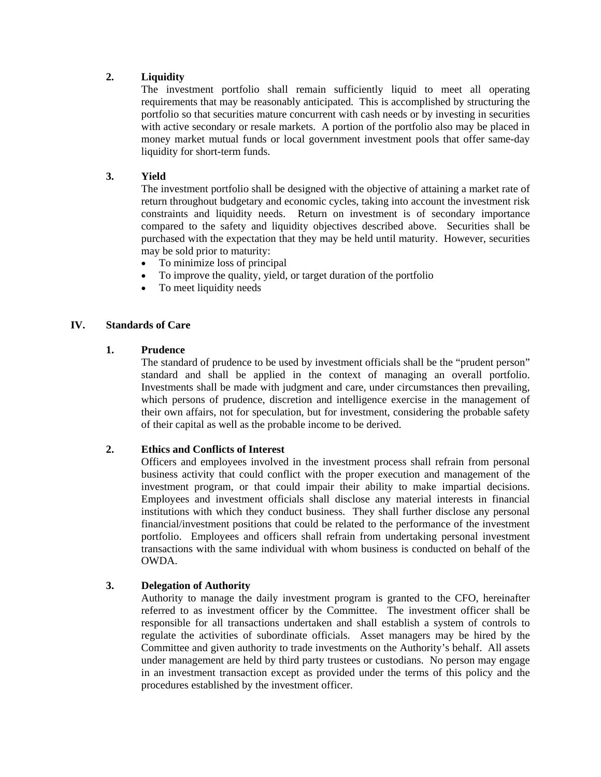## **2. Liquidity**

The investment portfolio shall remain sufficiently liquid to meet all operating requirements that may be reasonably anticipated. This is accomplished by structuring the portfolio so that securities mature concurrent with cash needs or by investing in securities with active secondary or resale markets. A portion of the portfolio also may be placed in money market mutual funds or local government investment pools that offer same-day liquidity for short-term funds.

## **3. Yield**

The investment portfolio shall be designed with the objective of attaining a market rate of return throughout budgetary and economic cycles, taking into account the investment risk constraints and liquidity needs. Return on investment is of secondary importance compared to the safety and liquidity objectives described above. Securities shall be purchased with the expectation that they may be held until maturity. However, securities may be sold prior to maturity:

- To minimize loss of principal
- To improve the quality, yield, or target duration of the portfolio
- To meet liquidity needs

#### **IV. Standards of Care**

#### **1. Prudence**

The standard of prudence to be used by investment officials shall be the "prudent person" standard and shall be applied in the context of managing an overall portfolio. Investments shall be made with judgment and care, under circumstances then prevailing, which persons of prudence, discretion and intelligence exercise in the management of their own affairs, not for speculation, but for investment, considering the probable safety of their capital as well as the probable income to be derived.

#### **2. Ethics and Conflicts of Interest**

Officers and employees involved in the investment process shall refrain from personal business activity that could conflict with the proper execution and management of the investment program, or that could impair their ability to make impartial decisions. Employees and investment officials shall disclose any material interests in financial institutions with which they conduct business. They shall further disclose any personal financial/investment positions that could be related to the performance of the investment portfolio. Employees and officers shall refrain from undertaking personal investment transactions with the same individual with whom business is conducted on behalf of the OWDA.

#### **3. Delegation of Authority**

Authority to manage the daily investment program is granted to the CFO, hereinafter referred to as investment officer by the Committee. The investment officer shall be responsible for all transactions undertaken and shall establish a system of controls to regulate the activities of subordinate officials. Asset managers may be hired by the Committee and given authority to trade investments on the Authority's behalf. All assets under management are held by third party trustees or custodians. No person may engage in an investment transaction except as provided under the terms of this policy and the procedures established by the investment officer.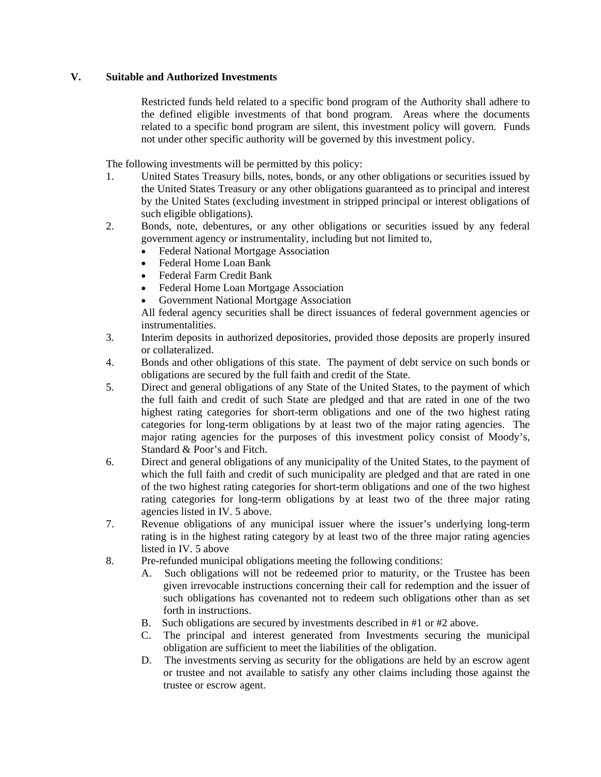## **V. Suitable and Authorized Investments**

Restricted funds held related to a specific bond program of the Authority shall adhere to the defined eligible investments of that bond program. Areas where the documents related to a specific bond program are silent, this investment policy will govern. Funds not under other specific authority will be governed by this investment policy.

The following investments will be permitted by this policy:

- 1. United States Treasury bills, notes, bonds, or any other obligations or securities issued by the United States Treasury or any other obligations guaranteed as to principal and interest by the United States (excluding investment in stripped principal or interest obligations of such eligible obligations).
- 2. Bonds, note, debentures, or any other obligations or securities issued by any federal government agency or instrumentality, including but not limited to,
	- Federal National Mortgage Association
	- Federal Home Loan Bank
	- Federal Farm Credit Bank
	- Federal Home Loan Mortgage Association
	- Government National Mortgage Association

All federal agency securities shall be direct issuances of federal government agencies or instrumentalities.

- 3. Interim deposits in authorized depositories, provided those deposits are properly insured or collateralized.
- 4. Bonds and other obligations of this state. The payment of debt service on such bonds or obligations are secured by the full faith and credit of the State.
- 5. Direct and general obligations of any State of the United States, to the payment of which the full faith and credit of such State are pledged and that are rated in one of the two highest rating categories for short-term obligations and one of the two highest rating categories for long-term obligations by at least two of the major rating agencies. The major rating agencies for the purposes of this investment policy consist of Moody's, Standard & Poor's and Fitch.
- 6. Direct and general obligations of any municipality of the United States, to the payment of which the full faith and credit of such municipality are pledged and that are rated in one of the two highest rating categories for short-term obligations and one of the two highest rating categories for long-term obligations by at least two of the three major rating agencies listed in IV. 5 above.
- 7. Revenue obligations of any municipal issuer where the issuer's underlying long-term rating is in the highest rating category by at least two of the three major rating agencies listed in IV. 5 above
- 8. Pre-refunded municipal obligations meeting the following conditions:
	- A. Such obligations will not be redeemed prior to maturity, or the Trustee has been given irrevocable instructions concerning their call for redemption and the issuer of such obligations has covenanted not to redeem such obligations other than as set forth in instructions.
	- B. Such obligations are secured by investments described in #1 or #2 above.
	- C. The principal and interest generated from Investments securing the municipal obligation are sufficient to meet the liabilities of the obligation.
	- D. The investments serving as security for the obligations are held by an escrow agent or trustee and not available to satisfy any other claims including those against the trustee or escrow agent.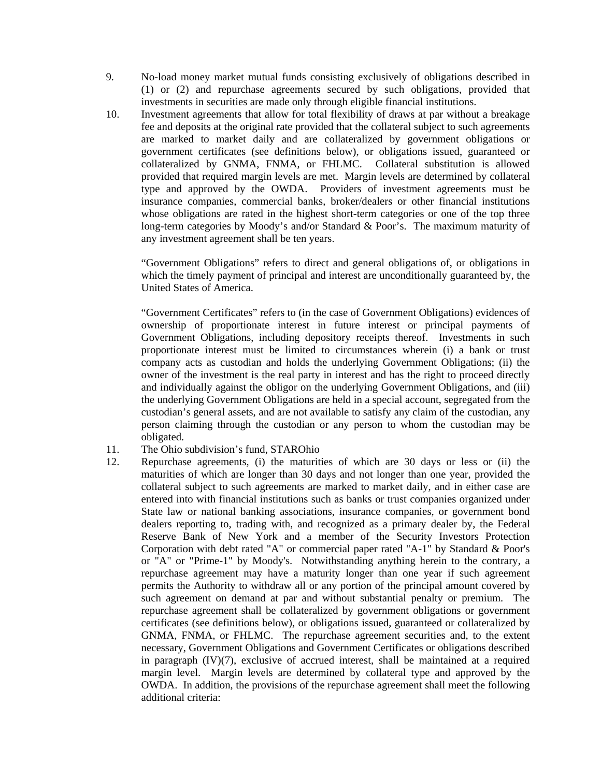- 9. No-load money market mutual funds consisting exclusively of obligations described in (1) or (2) and repurchase agreements secured by such obligations, provided that investments in securities are made only through eligible financial institutions.
- 10. Investment agreements that allow for total flexibility of draws at par without a breakage fee and deposits at the original rate provided that the collateral subject to such agreements are marked to market daily and are collateralized by government obligations or government certificates (see definitions below), or obligations issued, guaranteed or collateralized by GNMA, FNMA, or FHLMC. Collateral substitution is allowed provided that required margin levels are met. Margin levels are determined by collateral type and approved by the OWDA. Providers of investment agreements must be insurance companies, commercial banks, broker/dealers or other financial institutions whose obligations are rated in the highest short-term categories or one of the top three long-term categories by Moody's and/or Standard & Poor's. The maximum maturity of any investment agreement shall be ten years.

"Government Obligations" refers to direct and general obligations of, or obligations in which the timely payment of principal and interest are unconditionally guaranteed by, the United States of America.

"Government Certificates" refers to (in the case of Government Obligations) evidences of ownership of proportionate interest in future interest or principal payments of Government Obligations, including depository receipts thereof. Investments in such proportionate interest must be limited to circumstances wherein (i) a bank or trust company acts as custodian and holds the underlying Government Obligations; (ii) the owner of the investment is the real party in interest and has the right to proceed directly and individually against the obligor on the underlying Government Obligations, and (iii) the underlying Government Obligations are held in a special account, segregated from the custodian's general assets, and are not available to satisfy any claim of the custodian, any person claiming through the custodian or any person to whom the custodian may be obligated.

- 11. The Ohio subdivision's fund, STAROhio
- 12. Repurchase agreements, (i) the maturities of which are 30 days or less or (ii) the maturities of which are longer than 30 days and not longer than one year, provided the collateral subject to such agreements are marked to market daily, and in either case are entered into with financial institutions such as banks or trust companies organized under State law or national banking associations, insurance companies, or government bond dealers reporting to, trading with, and recognized as a primary dealer by, the Federal Reserve Bank of New York and a member of the Security Investors Protection Corporation with debt rated "A" or commercial paper rated "A-1" by Standard & Poor's or "A" or "Prime-1" by Moody's. Notwithstanding anything herein to the contrary, a repurchase agreement may have a maturity longer than one year if such agreement permits the Authority to withdraw all or any portion of the principal amount covered by such agreement on demand at par and without substantial penalty or premium. The repurchase agreement shall be collateralized by government obligations or government certificates (see definitions below), or obligations issued, guaranteed or collateralized by GNMA, FNMA, or FHLMC. The repurchase agreement securities and, to the extent necessary, Government Obligations and Government Certificates or obligations described in paragraph  $(IV)(7)$ , exclusive of accrued interest, shall be maintained at a required margin level. Margin levels are determined by collateral type and approved by the OWDA. In addition, the provisions of the repurchase agreement shall meet the following additional criteria: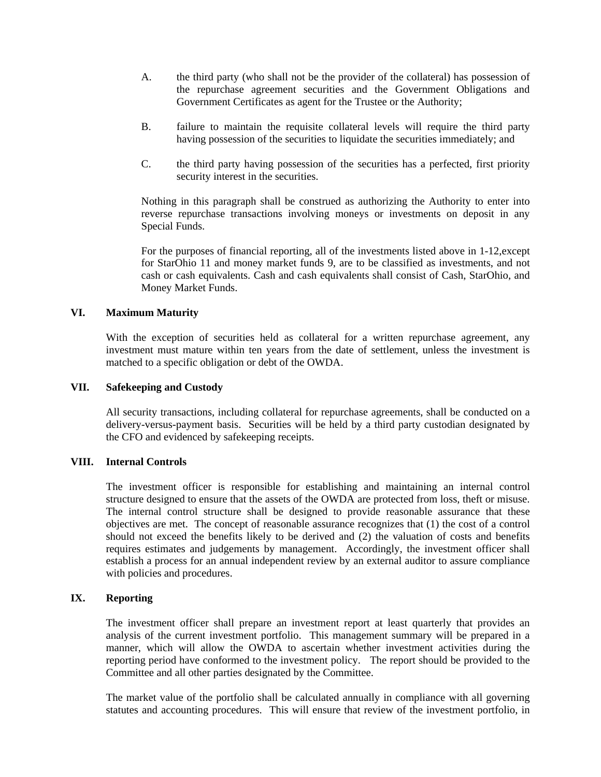- A. the third party (who shall not be the provider of the collateral) has possession of the repurchase agreement securities and the Government Obligations and Government Certificates as agent for the Trustee or the Authority;
- B. failure to maintain the requisite collateral levels will require the third party having possession of the securities to liquidate the securities immediately; and
- C. the third party having possession of the securities has a perfected, first priority security interest in the securities.

Nothing in this paragraph shall be construed as authorizing the Authority to enter into reverse repurchase transactions involving moneys or investments on deposit in any Special Funds.

For the purposes of financial reporting, all of the investments listed above in 1-12, except for StarOhio 11 and money market funds 9, are to be classified as investments, and not cash or cash equivalents. Cash and cash equivalents shall consist of Cash, StarOhio, and Money Market Funds.

#### **VI. Maximum Maturity**

With the exception of securities held as collateral for a written repurchase agreement, any investment must mature within ten years from the date of settlement, unless the investment is matched to a specific obligation or debt of the OWDA.

#### **VII. Safekeeping and Custody**

All security transactions, including collateral for repurchase agreements, shall be conducted on a delivery-versus-payment basis. Securities will be held by a third party custodian designated by the CFO and evidenced by safekeeping receipts.

#### **VIII. Internal Controls**

The investment officer is responsible for establishing and maintaining an internal control structure designed to ensure that the assets of the OWDA are protected from loss, theft or misuse. The internal control structure shall be designed to provide reasonable assurance that these objectives are met. The concept of reasonable assurance recognizes that (1) the cost of a control should not exceed the benefits likely to be derived and (2) the valuation of costs and benefits requires estimates and judgements by management. Accordingly, the investment officer shall establish a process for an annual independent review by an external auditor to assure compliance with policies and procedures.

#### **IX. Reporting**

The investment officer shall prepare an investment report at least quarterly that provides an analysis of the current investment portfolio. This management summary will be prepared in a manner, which will allow the OWDA to ascertain whether investment activities during the reporting period have conformed to the investment policy. The report should be provided to the Committee and all other parties designated by the Committee.

The market value of the portfolio shall be calculated annually in compliance with all governing statutes and accounting procedures. This will ensure that review of the investment portfolio, in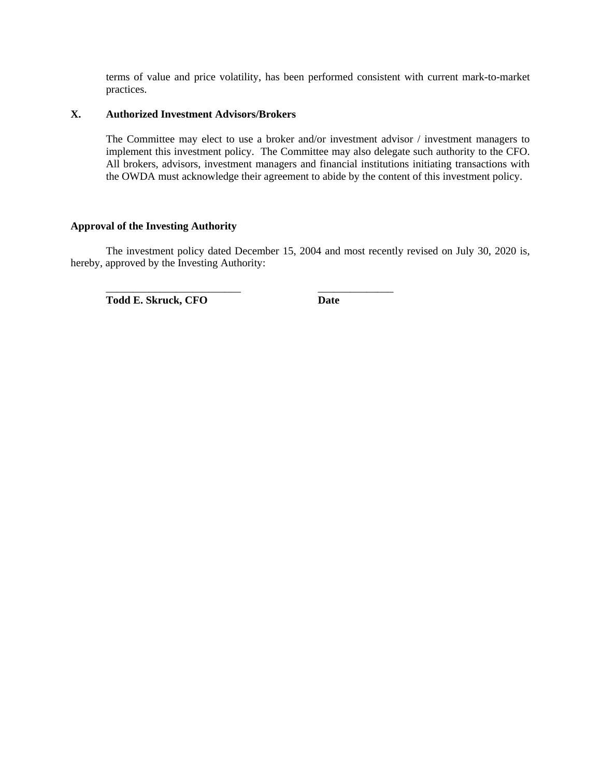terms of value and price volatility, has been performed consistent with current mark-to-market practices.

### **X. Authorized Investment Advisors/Brokers**

The Committee may elect to use a broker and/or investment advisor / investment managers to implement this investment policy. The Committee may also delegate such authority to the CFO. All brokers, advisors, investment managers and financial institutions initiating transactions with the OWDA must acknowledge their agreement to abide by the content of this investment policy.

#### **Approval of the Investing Authority**

The investment policy dated December 15, 2004 and most recently revised on July 30, 2020 is, hereby, approved by the Investing Authority:

 $\overline{\phantom{a}}$  ,  $\overline{\phantom{a}}$  ,  $\overline{\phantom{a}}$  ,  $\overline{\phantom{a}}$  ,  $\overline{\phantom{a}}$  ,  $\overline{\phantom{a}}$  ,  $\overline{\phantom{a}}$  ,  $\overline{\phantom{a}}$  ,  $\overline{\phantom{a}}$  ,  $\overline{\phantom{a}}$  ,  $\overline{\phantom{a}}$  ,  $\overline{\phantom{a}}$  ,  $\overline{\phantom{a}}$  ,  $\overline{\phantom{a}}$  ,  $\overline{\phantom{a}}$  ,  $\overline{\phantom{a}}$ Todd E. Skruck, CFO **Date**